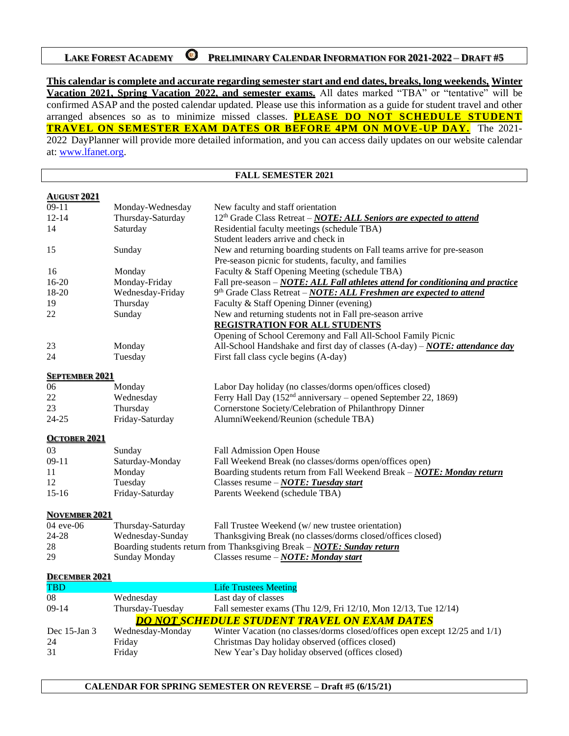## **LAKE FOREST ACADEMY PRELIMINARY CALENDAR INFORMATION FOR 2021-2022 DRAFT #5**

**This calendar is complete and accurate regarding semester start and end dates, breaks, long weekends, Winter Vacation 2021, Spring Vacation 2022, and semester exams.** All dates marked "TBA" or "tentative" will be confirmed ASAP and the posted calendar updated. Please use this information as a guide for student travel and other arranged absences so as to minimize missed classes. **PLEASE DO NOT SCHEDULE STUDENT TRAVEL ON SEMESTER EXAM DATES OR BEFORE 4PM ON MOVE-UP DAY.** The 2021- 2022 DayPlanner will provide more detailed information, and you can access daily updates on our website calendar at: [www.lfanet.org.](http://www.lfanet.org/)

**FALL SEMESTER 2021**

| <b>AUGUST 2021</b>                |                   |                                                                                        |
|-----------------------------------|-------------------|----------------------------------------------------------------------------------------|
| $09-11$                           | Monday-Wednesday  | New faculty and staff orientation                                                      |
| $12 - 14$                         | Thursday-Saturday | 12 <sup>th</sup> Grade Class Retreat – <b>NOTE: ALL Seniors are expected to attend</b> |
| 14                                | Saturday          | Residential faculty meetings (schedule TBA)                                            |
|                                   |                   | Student leaders arrive and check in                                                    |
| 15                                | Sunday            | New and returning boarding students on Fall teams arrive for pre-season                |
|                                   |                   | Pre-season picnic for students, faculty, and families                                  |
| 16                                | Monday            | Faculty & Staff Opening Meeting (schedule TBA)                                         |
| $16 - 20$                         | Monday-Friday     | Fall pre-season - NOTE: ALL Fall athletes attend for conditioning and practice         |
| 18-20                             | Wednesday-Friday  | 9th Grade Class Retreat - NOTE: ALL Freshmen are expected to attend                    |
| 19                                | Thursday          | Faculty & Staff Opening Dinner (evening)                                               |
| 22                                | Sunday            | New and returning students not in Fall pre-season arrive                               |
|                                   |                   | <b>REGISTRATION FOR ALL STUDENTS</b>                                                   |
|                                   |                   | Opening of School Ceremony and Fall All-School Family Picnic                           |
| 23                                | Monday            | All-School Handshake and first day of classes (A-day) – NOTE: attendance day           |
| 24                                | Tuesday           | First fall class cycle begins (A-day)                                                  |
| <b>SEPTEMBER 2021</b>             |                   |                                                                                        |
| 06                                | Monday            | Labor Day holiday (no classes/dorms open/offices closed)                               |
| 22                                | Wednesday         | Ferry Hall Day (152 <sup>nd</sup> anniversary – opened September 22, 1869)             |
| 23                                | Thursday          | Cornerstone Society/Celebration of Philanthropy Dinner                                 |
| $24 - 25$                         | Friday-Saturday   | AlumniWeekend/Reunion (schedule TBA)                                                   |
|                                   |                   |                                                                                        |
| <b>OCTOBER 2021</b>               |                   |                                                                                        |
| 03                                | Sunday            | Fall Admission Open House                                                              |
| $09-11$                           | Saturday-Monday   | Fall Weekend Break (no classes/dorms open/offices open)                                |
| 11                                | Monday            | Boarding students return from Fall Weekend Break - NOTE: Monday return                 |
| 12                                | Tuesday           | Classes resume - NOTE: Tuesday start                                                   |
| $15-16$                           | Friday-Saturday   | Parents Weekend (schedule TBA)                                                         |
|                                   |                   |                                                                                        |
| <b>NOVEMBER 2021</b><br>04 eye-06 | Thursday-Saturday | Fall Trustee Weekend (w/ new trustee orientation)                                      |
| 24-28                             | Wednesday-Sunday  | Thanksgiving Break (no classes/dorms closed/offices closed)                            |
| 28                                |                   | Boarding students return from Thanksgiving Break - NOTE: Sunday return                 |
| 29                                | Sunday Monday     | Classes resume - NOTE: Monday start                                                    |
|                                   |                   |                                                                                        |
| <b>DECEMBER 2021</b>              |                   |                                                                                        |
| <b>TBD</b>                        |                   | <b>Life Trustees Meeting</b>                                                           |
| 08                                | Wednesday         | Last day of classes                                                                    |
| $09-14$                           | Thursday-Tuesday  | Fall semester exams (Thu 12/9, Fri 12/10, Mon 12/13, Tue 12/14)                        |
|                                   |                   | <b>DO NOT SCHEDULE STUDENT TRAVEL ON EXAM DATES</b>                                    |
| Dec 15-Jan 3                      | Wednesday-Monday  | Winter Vacation (no classes/dorms closed/offices open except 12/25 and 1/1)            |
| 24                                | Friday            | Christmas Day holiday observed (offices closed)                                        |
| 31                                | Friday            | New Year's Day holiday observed (offices closed)                                       |

## **CALENDAR FOR SPRING SEMESTER ON REVERSE – Draft #5 (6/15/21)**